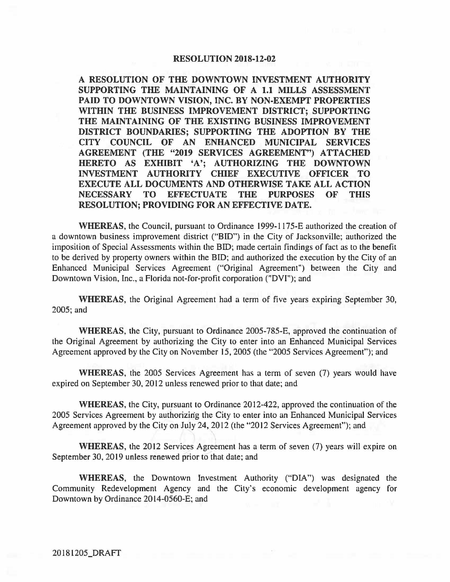## **RESOLUTION 2018-12-02**

**A RESOLUTION OF THE DOWNTOWN INVESTMENT AUTHORITY SUPPORTING THE MAINTAINING OF A 1.1 MILLS ASSESSMENT PAID TO DOWNTOWN VISION, INC. BY NON-EXEMPT PROPERTIES WITHIN THE BUSINESS IMPROVEMENT DISTRICT; SUPPORTING THE MAINTAINING OF THE EXISTING BUSINESS IMPROVEMENT DISTRICT BOUNDARIES; SUPPORTING THE ADOPTION BY THE CITY COUNCIL OF AN ENHANCED MUNICIPAL SERVICES AGREEMENT (THE "2019 SERVICES AGREEMENT") ATTACHED HERETO AS EXHIBIT 'A'; AUTHORIZING THE DOWNTOWN INVESTMENT AUTHORITY CHIEF EXECUTIVE OFFICER TO EXECUTE ALL DOCUMENTS AND OTHERWISE TAKE ALL ACTION NECESSARY TO EFFECTUATE THE PURPOSES OF THIS RESOLUTION; PROVIDING FOR AN EFFECTIVE DATE.** 

**WHEREAS,** the Council, pursuant to Ordinance 1999-1175-E authorized the creation of a downtown business improvement district ("BID") in the City of Jacksonville; authorized the imposition of Special Assessments within the BID; made certain findings of fact as to the benefit to be derived by property owners within the BID; and authorized the execution by the City of an Enhanced Municipal Services Agreement ("Original Agreement") between the City and Downtown Vision, Inc., a Florida not-for-profit corporation ("DYi"); and

**WHEREAS,** the Original Agreement had a term of five years expiring September 30, 2005;and

**WHEREAS,** the City, pursuant to Ordinance 2005-785-E, approved the continuation of the Original Agreement by authorizing the City to enter into an Enhanced Municipal Services Agreement approved by the City on November 15, 2005 (the "2005 Services Agreement"); and

**WHEREAS,** the 2005 Services Agreement has a term of seven (7) years would have expired on September 30, 2012 unless renewed prior to that date; and

**WHEREAS,** the City, pursuant to Ordinance 2012-422, approved the continuation of the 2005 Services Agreement by authorizing the City to enter into an Enhanced Municipal Services Agreement approved by the City on July 24, 2012 (the "2012 Services Agreement"); and

**WHEREAS,** the 2012 Services Agreement has a term of seven (7) years will expire on September 30, 2019 unless renewed prior to that date; and

**WHEREAS,** the Downtown Investment Authority ("DIA") was designated the Community Redevelopment Agency and the City's economic development agency for Downtown by Ordinance 2014-0560-E; and